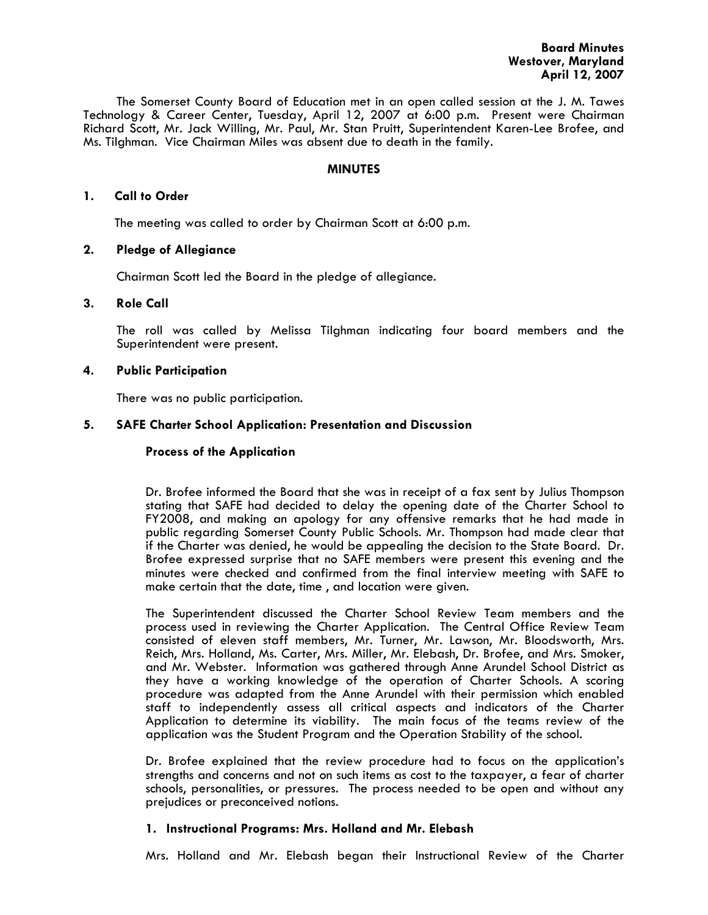The Somerset County Board of Education met in an open called session at the J. M. Tawes Technology & Career Center, Tuesday, April 12, 2007 at 6:00 p.m. Present were Chairman Richard Scott, Mr. Jack Willing, Mr. Paul, Mr. Stan Pruitt, Superintendent Karen-Lee Brofee, and Ms. Tilghman. Vice Chairman Miles was absent due to death in the family.

## **MINUTES**

### **1. Call to Order**

The meeting was called to order by Chairman Scott at 6:00 p.m.

## **2. Pledge of Allegiance**

Chairman Scott led the Board in the pledge of allegiance.

### **3. Role Call**

The roll was called by Melissa Tilghman indicating four board members and the Superintendent were present.

## **4. Public Participation**

There was no public participation.

## **5. SAFE Charter School Application: Presentation and Discussion**

## **Process of the Application**

Dr. Brofee informed the Board that she was in receipt of a fax sent by Julius Thompson stating that SAFE had decided to delay the opening date of the Charter School to FY2008, and making an apology for any offensive remarks that he had made in public regarding Somerset County Public Schools. Mr. Thompson had made clear that if the Charter was denied, he would be appealing the decision to the State Board. Dr. Brofee expressed surprise that no SAFE members were present this evening and the minutes were checked and confirmed from the final interview meeting with SAFE to make certain that the date, time , and location were given.

The Superintendent discussed the Charter School Review Team members and the process used in reviewing the Charter Application. The Central Office Review Team consisted of eleven staff members, Mr. Turner, Mr. Lawson, Mr. Bloodsworth, Mrs. Reich, Mrs. Holland, Ms. Carter, Mrs. Miller, Mr. Elebash, Dr. Brofee, and Mrs. Smoker, and Mr. Webster. Information was gathered through Anne Arundel School District as they have a working knowledge of the operation of Charter Schools. A scoring procedure was adapted from the Anne Arundel with their permission which enabled staff to independently assess all critical aspects and indicators of the Charter Application to determine its viability. The main focus of the teams review of the application was the Student Program and the Operation Stability of the school.

Dr. Brofee explained that the review procedure had to focus on the application's strengths and concerns and not on such items as cost to the taxpayer, a fear of charter schools, personalities, or pressures. The process needed to be open and without any prejudices or preconceived notions.

### **1. Instructional Programs: Mrs. Holland and Mr. Elebash**

Mrs. Holland and Mr. Elebash began their Instructional Review of the Charter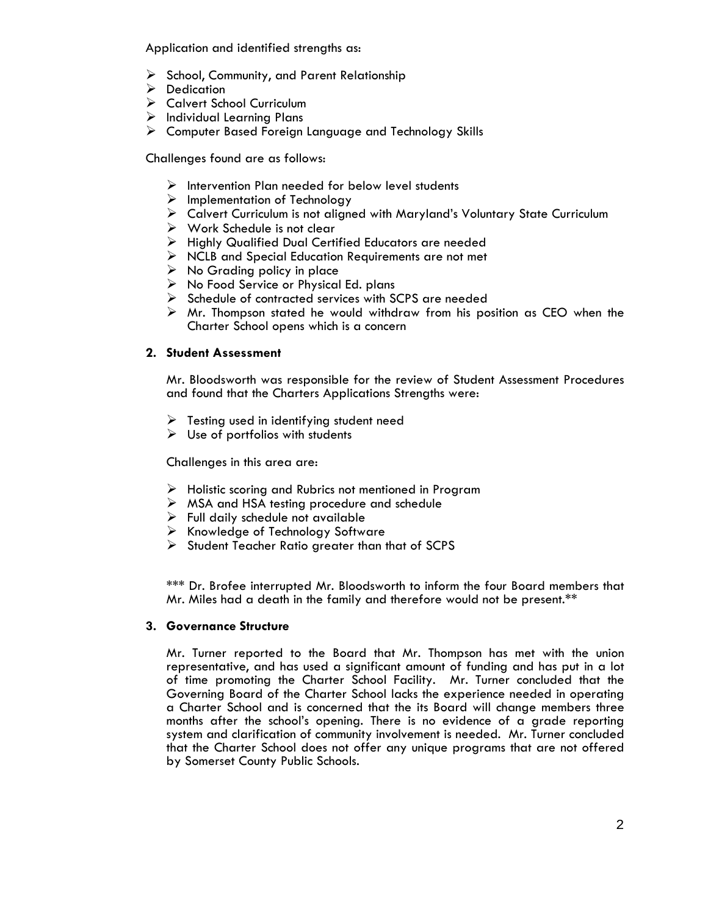Application and identified strengths as:

- ¾ School, Community, and Parent Relationship
- $\triangleright$  Dedication
- ¾ Calvert School Curriculum
- $\triangleright$  Individual Learning Plans
- ¾ Computer Based Foreign Language and Technology Skills

Challenges found are as follows:

- $\triangleright$  Intervention Plan needed for below level students
- $\triangleright$  Implementation of Technology
- ¾ Calvert Curriculum is not aligned with Maryland's Voluntary State Curriculum
- $\triangleright$  Work Schedule is not clear
- ¾ Highly Qualified Dual Certified Educators are needed
- $\triangleright$  NCLB and Special Education Requirements are not met
- $\triangleright$  No Grading policy in place
- $\triangleright$  No Food Service or Physical Ed. plans
- ¾ Schedule of contracted services with SCPS are needed
- $\triangleright$  Mr. Thompson stated he would withdraw from his position as CEO when the Charter School opens which is a concern

# **2. Student Assessment**

Mr. Bloodsworth was responsible for the review of Student Assessment Procedures and found that the Charters Applications Strengths were:

- $\triangleright$  Testing used in identifying student need
- $\triangleright$  Use of portfolios with students

Challenges in this area are:

- $\triangleright$  Holistic scoring and Rubrics not mentioned in Program
- $\triangleright$  MSA and HSA testing procedure and schedule
- $\triangleright$  Full daily schedule not available
- $\triangleright$  Knowledge of Technology Software
- $\triangleright$  Student Teacher Ratio greater than that of SCPS

\*\*\* Dr. Brofee interrupted Mr. Bloodsworth to inform the four Board members that Mr. Miles had a death in the family and therefore would not be present.\*\*

# **3. Governance Structure**

Mr. Turner reported to the Board that Mr. Thompson has met with the union representative, and has used a significant amount of funding and has put in a lot of time promoting the Charter School Facility. Mr. Turner concluded that the Governing Board of the Charter School lacks the experience needed in operating a Charter School and is concerned that the its Board will change members three months after the school's opening. There is no evidence of a grade reporting system and clarification of community involvement is needed. Mr. Turner concluded that the Charter School does not offer any unique programs that are not offered by Somerset County Public Schools.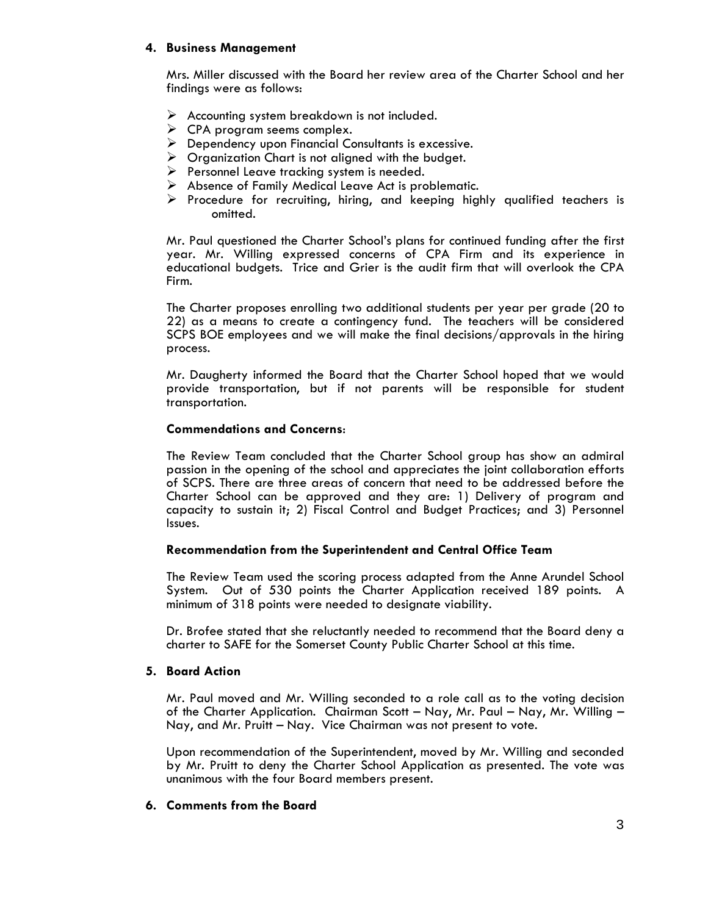# **4. Business Management**

Mrs. Miller discussed with the Board her review area of the Charter School and her findings were as follows:

- $\triangleright$  Accounting system breakdown is not included.
- $\triangleright$  CPA program seems complex.
- $\triangleright$  Dependency upon Financial Consultants is excessive.
- $\triangleright$  Organization Chart is not aligned with the budget.
- $\triangleright$  Personnel Leave tracking system is needed.
- $\triangleright$  Absence of Family Medical Leave Act is problematic.
- $\triangleright$  Procedure for recruiting, hiring, and keeping highly qualified teachers is omitted.

Mr. Paul questioned the Charter School's plans for continued funding after the first year. Mr. Willing expressed concerns of CPA Firm and its experience in educational budgets. Trice and Grier is the audit firm that will overlook the CPA Firm. The Charter proposes enrolling two additional students per year per grade (20 to

22) as a means to create a contingency fund. The teachers will be considered SCPS BOE employees and we will make the final decisions/approvals in the hiring process.

Mr. Daugherty informed the Board that the Charter School hoped that we would provide transportation, but if not parents will be responsible for student transportation.

## **Commendations and Concerns**:

The Review Team concluded that the Charter School group has show an admiral passion in the opening of the school and appreciates the joint collaboration efforts of SCPS. There are three areas of concern that need to be addressed before the Charter School can be approved and they are: 1) Delivery of program and capacity to sustain it; 2) Fiscal Control and Budget Practices; and 3) Personnel Issues.

# **Recommendation from the Superintendent and Central Office Team**

The Review Team used the scoring process adapted from the Anne Arundel School System. Out of 530 points the Charter Application received 189 points. A minimum of 318 points were needed to designate viability.

Dr. Brofee stated that she reluctantly needed to recommend that the Board deny a charter to SAFE for the Somerset County Public Charter School at this time.

### **5. Board Action**

Mr. Paul moved and Mr. Willing seconded to a role call as to the voting decision of the Charter Application. Chairman Scott – Nay, Mr. Paul – Nay, Mr. Willing – Nay, and Mr. Pruitt – Nay. Vice Chairman was not present to vote.

Upon recommendation of the Superintendent, moved by Mr. Willing and seconded by Mr. Pruitt to deny the Charter School Application as presented. The vote was unanimous with the four Board members present.

# **6. Comments from the Board**